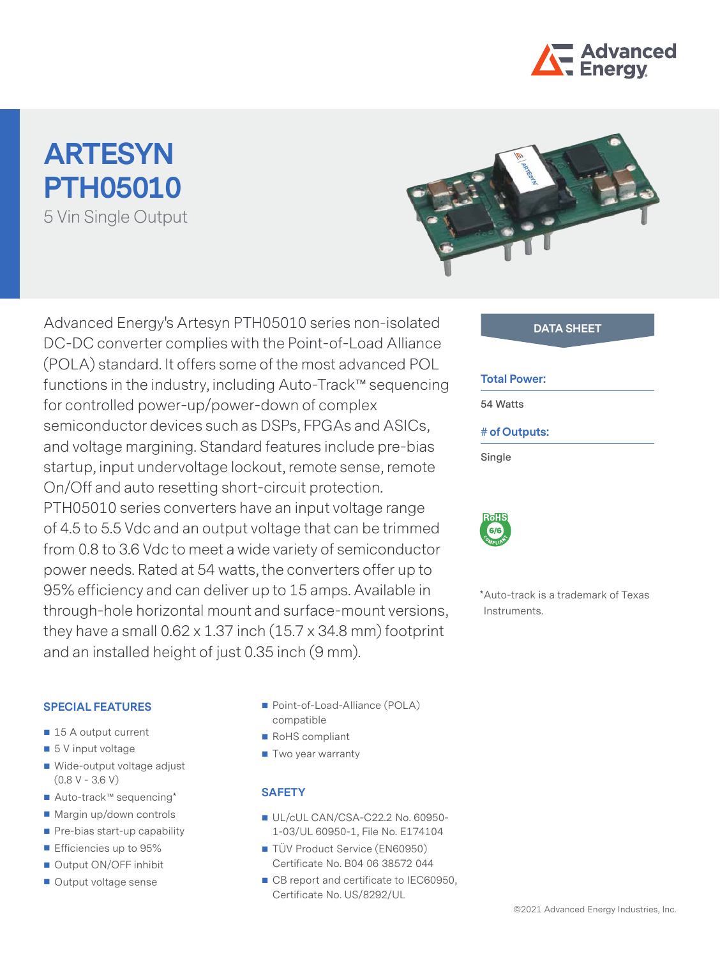

# **ARTESYN PTH05010** 5 Vin Single Output



Advanced Energy's Artesyn PTH05010 series non-isolated **DATA SHEET** DC-DC converter complies with the Point-of-Load Alliance (POLA) standard. It offers some of the most advanced POL functions in the industry, including Auto-Track™ sequencing for controlled power-up/power-down of complex semiconductor devices such as DSPs, FPGAs and ASICs, and voltage margining. Standard features include pre-bias startup, input undervoltage lockout, remote sense, remote On/Off and auto resetting short-circuit protection. PTH05010 series converters have an input voltage range of 4.5 to 5.5 Vdc and an output voltage that can be trimmed from 0.8 to 3.6 Vdc to meet a wide variety of semiconductor power needs. Rated at 54 watts, the converters offer up to 95% efficiency and can deliver up to 15 amps. Available in through-hole horizontal mount and surface-mount versions, they have a small  $0.62 \times 1.37$  inch  $(15.7 \times 34.8 \text{ mm})$  footprint and an installed height of just 0.35 inch (9 mm).

| <b>Total Power:</b>         |  |
|-----------------------------|--|
| 54 Watts                    |  |
| # of Outputs:               |  |
| Single                      |  |
|                             |  |
| <b>RoHS</b><br>6/6<br>COMPL |  |

\*Auto-track is a trademark of Texas Instruments.

#### **SPECIAL FEATURES**

- 15 A output current
- 5 V input voltage
- Wide-output voltage adjust  $(0.8 V - 3.6 V)$
- Auto-track™ sequencing\*
- Margin up/down controls
- Pre-bias start-up capability
- **Efficiencies up to 95%**
- Output ON/OFF inhibit
- Output voltage sense
- Point-of-Load-Alliance (POLA) compatible
- RoHS compliant
- Two year warranty

### **SAFETY**

- UL/cUL CAN/CSA-C22.2 No. 60950-1-03/UL 60950-1, File No. E174104
- TÜV Product Service (EN60950) Certificate No. B04 06 38572 044
- CB report and certificate to IEC60950, Certificate No. US/8292/UL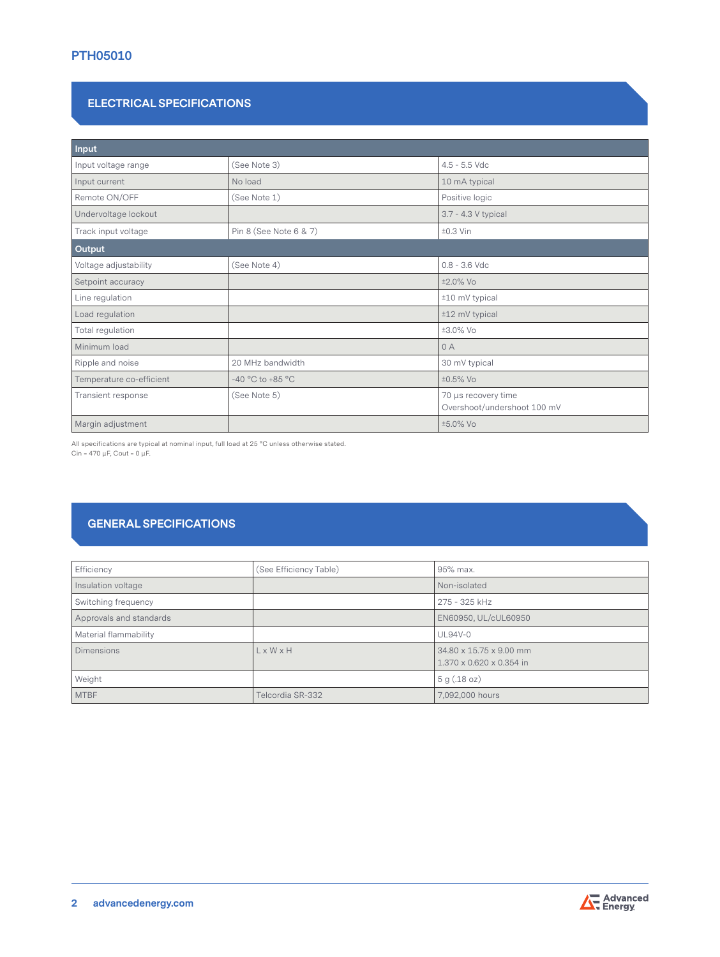### **PTH05010**

#### **ELECTRICAL SPECIFICATIONS**

| Input                    |                        |                                                    |
|--------------------------|------------------------|----------------------------------------------------|
| Input voltage range      | (See Note 3)           | $4.5 - 5.5$ Vdc                                    |
| Input current            | No load                | 10 mA typical                                      |
| Remote ON/OFF            | (See Note 1)           | Positive logic                                     |
| Undervoltage lockout     |                        | 3.7 - 4.3 V typical                                |
| Track input voltage      | Pin 8 (See Note 6 & 7) | $±0.3$ Vin                                         |
| Output                   |                        |                                                    |
| Voltage adjustability    | (See Note 4)           | $0.8 - 3.6$ Vdc                                    |
| Setpoint accuracy        |                        | ±2.0% Vo                                           |
| Line regulation          |                        | ±10 mV typical                                     |
| Load regulation          |                        | ±12 mV typical                                     |
| Total regulation         |                        | ±3.0% Vo                                           |
| Minimum load             |                        | 0A                                                 |
| Ripple and noise         | 20 MHz bandwidth       | 30 mV typical                                      |
| Temperature co-efficient | -40 °C to +85 °C       | ±0.5% Vo                                           |
| Transient response       | (See Note 5)           | 70 µs recovery time<br>Overshoot/undershoot 100 mV |
| Margin adjustment        |                        | ±5.0% Vo                                           |

All specifications are typical at nominal input, full load at 25 °C unless otherwise stated. Cin = 470 μF, Cout = 0 μF.

# **GENERAL SPECIFICATIONS**

| Efficiency              | (See Efficiency Table) | 95% max.                                                        |
|-------------------------|------------------------|-----------------------------------------------------------------|
| Insulation voltage      |                        | Non-isolated                                                    |
| Switching frequency     |                        | 275 - 325 kHz                                                   |
| Approvals and standards |                        | EN60950, UL/cUL60950                                            |
| Material flammability   |                        | <b>UL94V-0</b>                                                  |
| <b>Dimensions</b>       | $L \times W \times H$  | 34.80 x 15.75 x 9.00 mm<br>$1.370 \times 0.620 \times 0.354$ in |
| Weight                  |                        | 5 g(.18 oz)                                                     |
| <b>MTBF</b>             | Telcordia SR-332       | 7,092,000 hours                                                 |

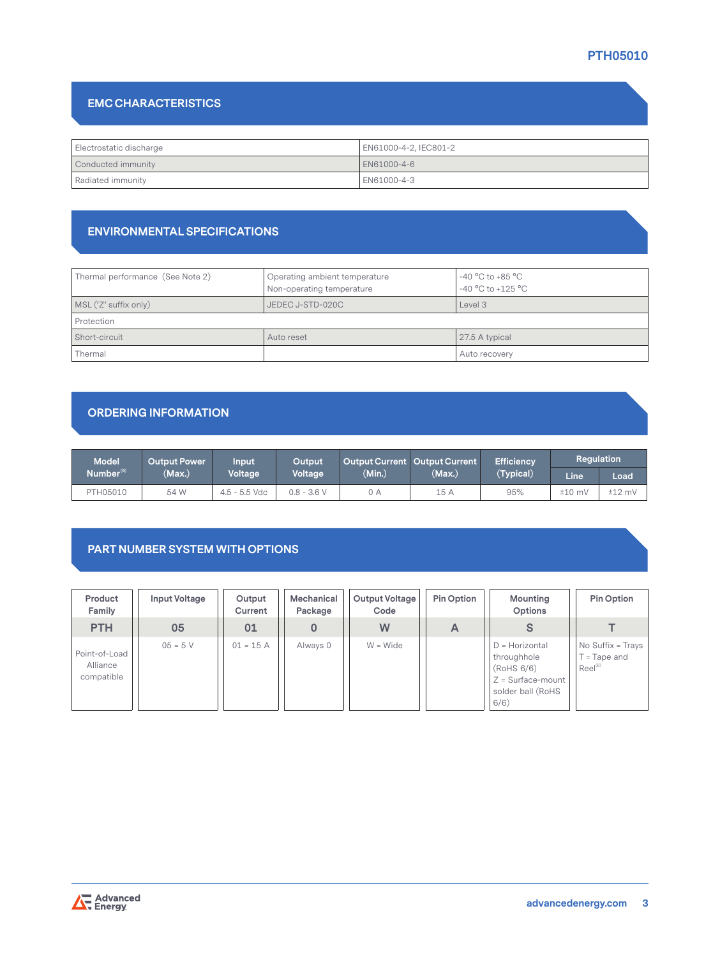## **PTH05010**

## **EMC CHARACTERISTICS**

| Electrostatic discharge | EN61000-4-2, IEC801-2 |
|-------------------------|-----------------------|
| Conducted immunity      | LEN61000-4-6          |
| Radiated immunity       | EN61000-4-3           |

#### **ENVIRONMENTAL SPECIFICATIONS**

| Thermal performance (See Note 2) | Operating ambient temperature<br>Non-operating temperature | $-40\,^{\circ}\mathrm{C}$ to $+85\,^{\circ}\mathrm{C}$<br>$-40 °C$ to $+125 °C$ |
|----------------------------------|------------------------------------------------------------|---------------------------------------------------------------------------------|
| MSL ('Z' suffix only)            | JEDEC J-STD-020C                                           | Level 3                                                                         |
| Protection                       |                                                            |                                                                                 |
| Short-circuit                    | Auto reset                                                 | 27.5 A typical                                                                  |
| Thermal                          |                                                            | Auto recovery                                                                   |

## **ORDERING INFORMATION**

| <b>Model</b>          | Output Power \ | Input           | Output        | <b>Output Current Output Current</b> |        | <b>Efficiency</b> | Regulation  |          |
|-----------------------|----------------|-----------------|---------------|--------------------------------------|--------|-------------------|-------------|----------|
| Number <sup>(9)</sup> | (Max.)         | <b>Voltage</b>  | Voltage       | (Min.)                               | (Max.) | (Typical)         | <b>Line</b> | Load     |
| PTH05010              | 54 W           | $4.5 - 5.5$ Vdc | $0.8 - 3.6 V$ | 0 A                                  | 15 A   | 95%               | $±10$ mV    | $±12$ mV |

#### **PART NUMBER SYSTEM WITH OPTIONS**

| Product<br>Family                       | Input Voltage | Output<br>Current | Mechanical<br>Package | <b>Output Voltage</b><br>Code | Pin Option | Mounting<br>Options                                                                                | Pin Option                                      |
|-----------------------------------------|---------------|-------------------|-----------------------|-------------------------------|------------|----------------------------------------------------------------------------------------------------|-------------------------------------------------|
| <b>PTH</b>                              | 05            | 01                |                       | W                             | A          |                                                                                                    |                                                 |
| Point-of-Load<br>Alliance<br>compatible | $05 = 5 V$    | $01 = 15 A$       | Always 0              | $W = Wide$                    |            | $D =$ Horizontal<br>throughhole<br>(RoHS 6/6)<br>$Z = Surface$ -mount<br>solder ball (RoHS<br>6/6) | No Suffix = Trays<br>= Tape and<br>$Reel^{(8)}$ |

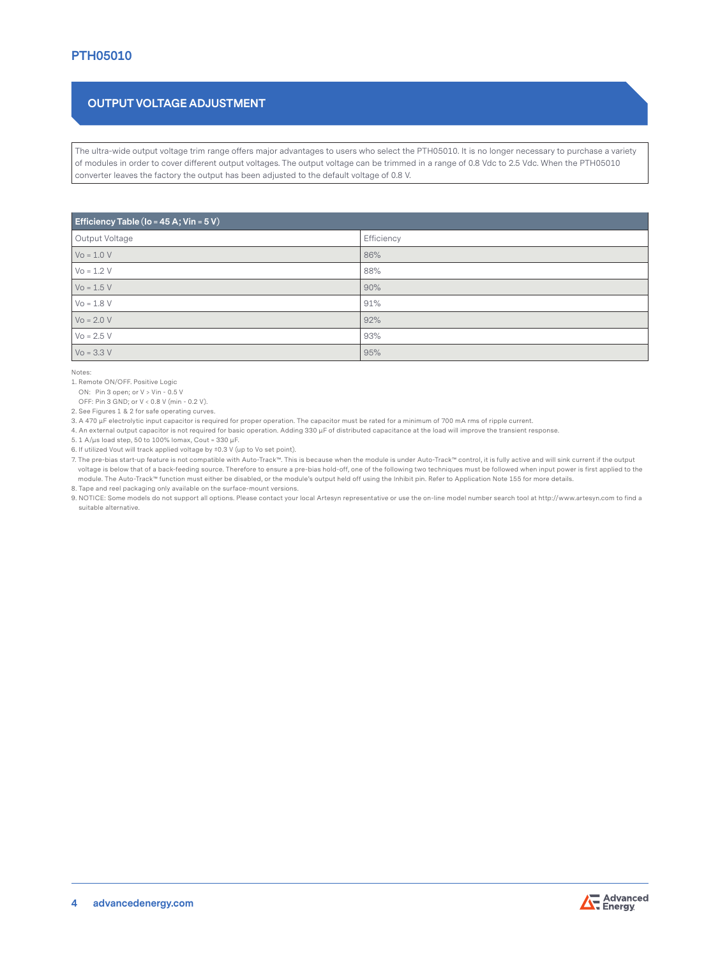## **OUTPUT VOLTAGE ADJUSTMENT**

The ultra-wide output voltage trim range offers major advantages to users who select the PTH05010. It is no longer necessary to purchase a variety of modules in order to cover different output voltages. The output voltage can be trimmed in a range of 0.8 Vdc to 2.5 Vdc. When the PTH05010 converter leaves the factory the output has been adjusted to the default voltage of 0.8 V.

| Efficiency Table (Io = 45 A; Vin = $5V$ ) |            |  |  |  |
|-------------------------------------------|------------|--|--|--|
| Output Voltage                            | Efficiency |  |  |  |
| $Vo = 1.0 V$                              | 86%        |  |  |  |
| $V_0 = 1.2 V$                             | 88%        |  |  |  |
| $Vo = 1.5 V$                              | 90%        |  |  |  |
| $Vo = 1.8 V$                              | 91%        |  |  |  |
| $V_0 = 2.0 V$                             | 92%        |  |  |  |
| $V_0 = 2.5 V$                             | 93%        |  |  |  |
| $Vo = 3.3 V$                              | 95%        |  |  |  |

Notes:

1. Remote ON/OFF. Positive Logic

ON: Pin 3 open; or V > Vin - 0.5 V

OFF: Pin 3 GND; or V < 0.8 V (min - 0.2 V).

2. See Figures 1 & 2 for safe operating curves.

3. A 470 μF electrolytic input capacitor is required for proper operation. The capacitor must be rated for a minimum of 700 mA rms of ripple current.

4. An external output capacitor is not required for basic operation. Adding 330 μF of distributed capacitance at the load will improve the transient response.

5. 1 A/μs load step, 50 to 100% Iomax, Cout = 330 μF.

6. If utilized Vout will track applied voltage by ±0.3 V (up to Vo set point).

7. The pre-bias start-up feature is not compatible with Auto-Track™. This is because when the module is under Auto-Track™ control, it is fully active and will sink current if the output voltage is below that of a back-feeding source. Therefore to ensure a pre-bias hold-off, one of the following two techniques must be followed when input power is first applied to the module. The Auto-Track™ function must either be disabled, or the module's output held off using the Inhibit pin. Refer to Application Note 155 for more details. 8. Tape and reel packaging only available on the surface-mount versions.

9. NOTICE: Some models do not support all options. Please contact your local Artesyn representative or use the on-line model number search tool at http://www.artesyn.com to find a suitable alternative.

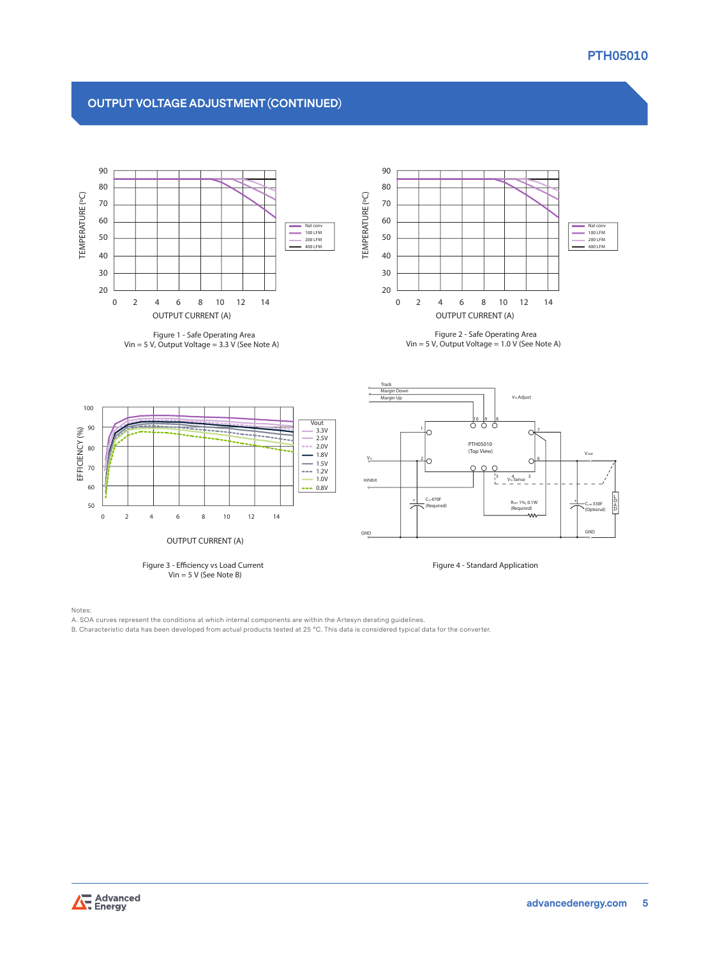## **OUTPUT VOLTAGE ADJUSTMENT (CONTINUED)**



**Figure 1 - Safe Operating Area Vin = 5 V, Output Voltage = 3.3 V (See Note A)**



**Figure 2 - Safe Operating Area Vin = 5 V, Output Voltage = 1.0 V (See Note A)**









Notes:

- A. SOA curves represent the conditions at which internal components are within the Artesyn derating guidelines.
- B. Characteristic data has been developed from actual products tested at 25 °C. This data is considered typical data for the converter.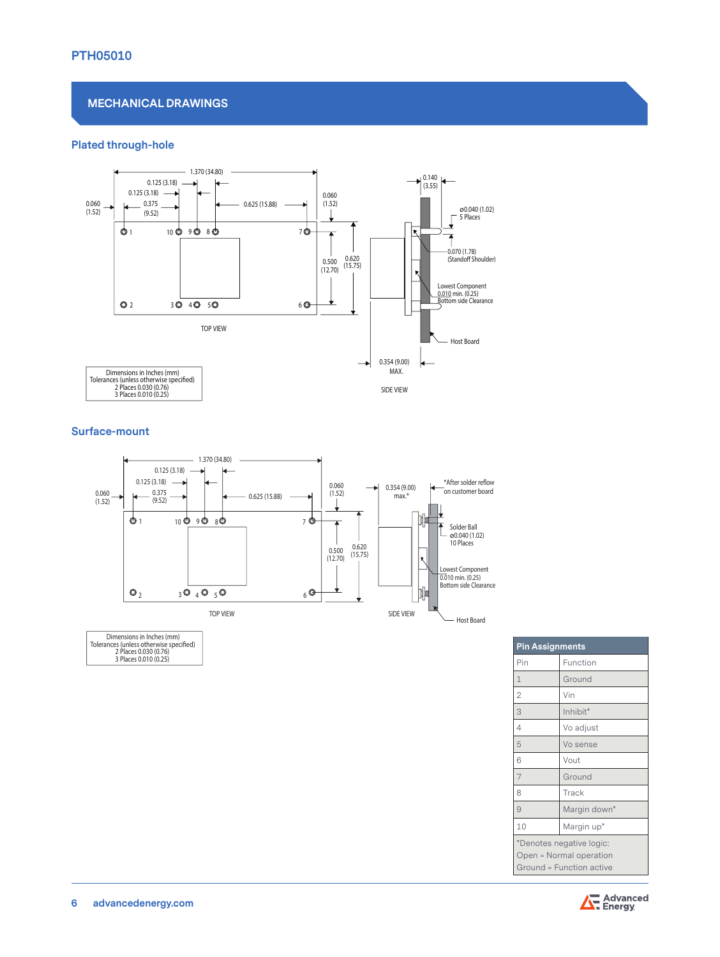## **PTH05010**

#### **MECHANICAL DRAWINGS**

#### **Plated through-hole**



#### **Surface-mount**



Dimensions in Inches (mm)<br>Tolerances (unless otherwise specified)<br>2 Places 0.030 (0.76)<br>3 Places 0.010 (0.25)

| <b>Pin Assignments</b>   |              |  |
|--------------------------|--------------|--|
| Pin                      | Function     |  |
| $\mathbf{1}$             | Ground       |  |
| $\overline{2}$           | Vin          |  |
| 3                        | Inhibit*     |  |
| 4                        | Vo adjust    |  |
| 5                        | Vo sense     |  |
| 6                        | Vout         |  |
| $\overline{7}$           | Ground       |  |
| 8                        | Track        |  |
| 9                        | Margin down* |  |
| 10                       | Margin up*   |  |
| *Denotes negative logic: |              |  |
| Open = Normal operation  |              |  |
| Ground = Function active |              |  |